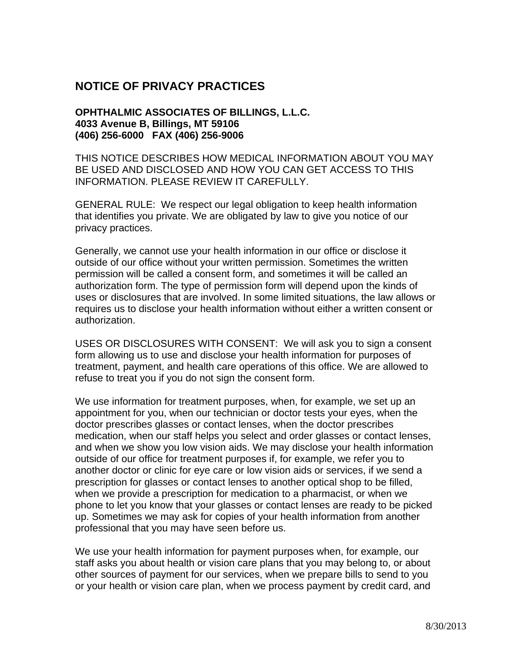## **NOTICE OF PRIVACY PRACTICES**

## **OPHTHALMIC ASSOCIATES OF BILLINGS, L.L.C. 4033 Avenue B, Billings, MT 59106 (406) 256-6000 FAX (406) 256-9006**

THIS NOTICE DESCRIBES HOW MEDICAL INFORMATION ABOUT YOU MAY BE USED AND DISCLOSED AND HOW YOU CAN GET ACCESS TO THIS INFORMATION. PLEASE REVIEW IT CAREFULLY.

GENERAL RULE: We respect our legal obligation to keep health information that identifies you private. We are obligated by law to give you notice of our privacy practices.

Generally, we cannot use your health information in our office or disclose it outside of our office without your written permission. Sometimes the written permission will be called a consent form, and sometimes it will be called an authorization form. The type of permission form will depend upon the kinds of uses or disclosures that are involved. In some limited situations, the law allows or requires us to disclose your health information without either a written consent or authorization.

USES OR DISCLOSURES WITH CONSENT: We will ask you to sign a consent form allowing us to use and disclose your health information for purposes of treatment, payment, and health care operations of this office. We are allowed to refuse to treat you if you do not sign the consent form.

We use information for treatment purposes, when, for example, we set up an appointment for you, when our technician or doctor tests your eyes, when the doctor prescribes glasses or contact lenses, when the doctor prescribes medication, when our staff helps you select and order glasses or contact lenses, and when we show you low vision aids. We may disclose your health information outside of our office for treatment purposes if, for example, we refer you to another doctor or clinic for eye care or low vision aids or services, if we send a prescription for glasses or contact lenses to another optical shop to be filled, when we provide a prescription for medication to a pharmacist, or when we phone to let you know that your glasses or contact lenses are ready to be picked up. Sometimes we may ask for copies of your health information from another professional that you may have seen before us.

We use your health information for payment purposes when, for example, our staff asks you about health or vision care plans that you may belong to, or about other sources of payment for our services, when we prepare bills to send to you or your health or vision care plan, when we process payment by credit card, and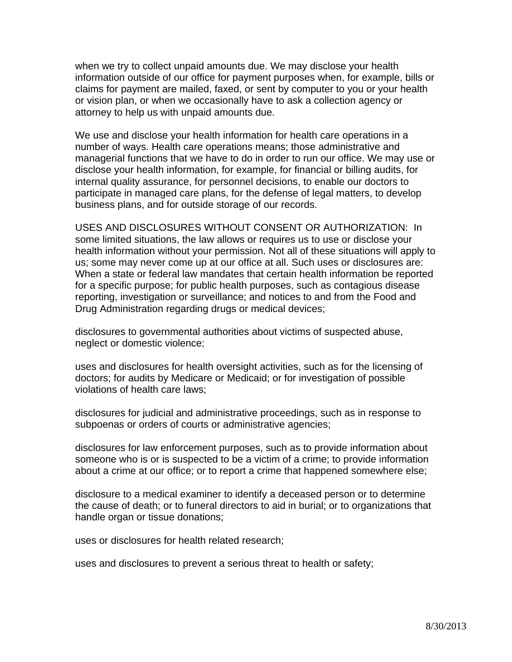when we try to collect unpaid amounts due. We may disclose your health information outside of our office for payment purposes when, for example, bills or claims for payment are mailed, faxed, or sent by computer to you or your health or vision plan, or when we occasionally have to ask a collection agency or attorney to help us with unpaid amounts due.

We use and disclose your health information for health care operations in a number of ways. Health care operations means; those administrative and managerial functions that we have to do in order to run our office. We may use or disclose your health information, for example, for financial or billing audits, for internal quality assurance, for personnel decisions, to enable our doctors to participate in managed care plans, for the defense of legal matters, to develop business plans, and for outside storage of our records.

USES AND DISCLOSURES WITHOUT CONSENT OR AUTHORIZATION: In some limited situations, the law allows or requires us to use or disclose your health information without your permission. Not all of these situations will apply to us; some may never come up at our office at all. Such uses or disclosures are: When a state or federal law mandates that certain health information be reported for a specific purpose; for public health purposes, such as contagious disease reporting, investigation or surveillance; and notices to and from the Food and Drug Administration regarding drugs or medical devices;

disclosures to governmental authorities about victims of suspected abuse, neglect or domestic violence;

uses and disclosures for health oversight activities, such as for the licensing of doctors; for audits by Medicare or Medicaid; or for investigation of possible violations of health care laws;

disclosures for judicial and administrative proceedings, such as in response to subpoenas or orders of courts or administrative agencies;

disclosures for law enforcement purposes, such as to provide information about someone who is or is suspected to be a victim of a crime; to provide information about a crime at our office; or to report a crime that happened somewhere else;

disclosure to a medical examiner to identify a deceased person or to determine the cause of death; or to funeral directors to aid in burial; or to organizations that handle organ or tissue donations;

uses or disclosures for health related research;

uses and disclosures to prevent a serious threat to health or safety;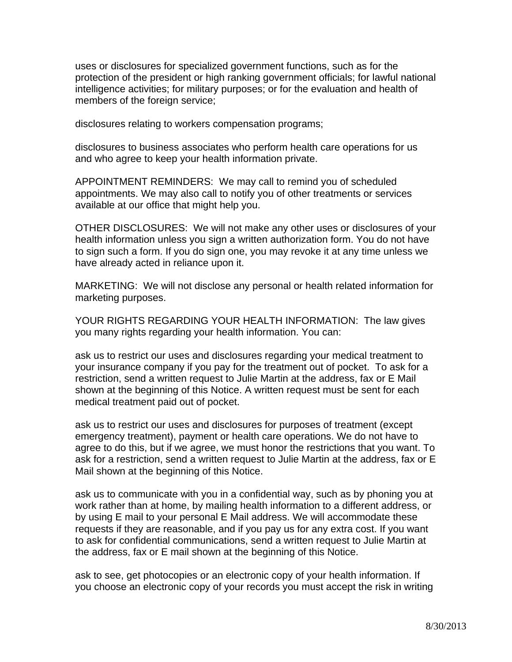uses or disclosures for specialized government functions, such as for the protection of the president or high ranking government officials; for lawful national intelligence activities; for military purposes; or for the evaluation and health of members of the foreign service;

disclosures relating to workers compensation programs;

disclosures to business associates who perform health care operations for us and who agree to keep your health information private.

APPOINTMENT REMINDERS: We may call to remind you of scheduled appointments. We may also call to notify you of other treatments or services available at our office that might help you.

OTHER DISCLOSURES: We will not make any other uses or disclosures of your health information unless you sign a written authorization form. You do not have to sign such a form. If you do sign one, you may revoke it at any time unless we have already acted in reliance upon it.

MARKETING: We will not disclose any personal or health related information for marketing purposes.

YOUR RIGHTS REGARDING YOUR HEALTH INFORMATION: The law gives you many rights regarding your health information. You can:

ask us to restrict our uses and disclosures regarding your medical treatment to your insurance company if you pay for the treatment out of pocket. To ask for a restriction, send a written request to Julie Martin at the address, fax or E Mail shown at the beginning of this Notice. A written request must be sent for each medical treatment paid out of pocket.

ask us to restrict our uses and disclosures for purposes of treatment (except emergency treatment), payment or health care operations. We do not have to agree to do this, but if we agree, we must honor the restrictions that you want. To ask for a restriction, send a written request to Julie Martin at the address, fax or E Mail shown at the beginning of this Notice.

ask us to communicate with you in a confidential way, such as by phoning you at work rather than at home, by mailing health information to a different address, or by using E mail to your personal E Mail address. We will accommodate these requests if they are reasonable, and if you pay us for any extra cost. If you want to ask for confidential communications, send a written request to Julie Martin at the address, fax or E mail shown at the beginning of this Notice.

ask to see, get photocopies or an electronic copy of your health information. If you choose an electronic copy of your records you must accept the risk in writing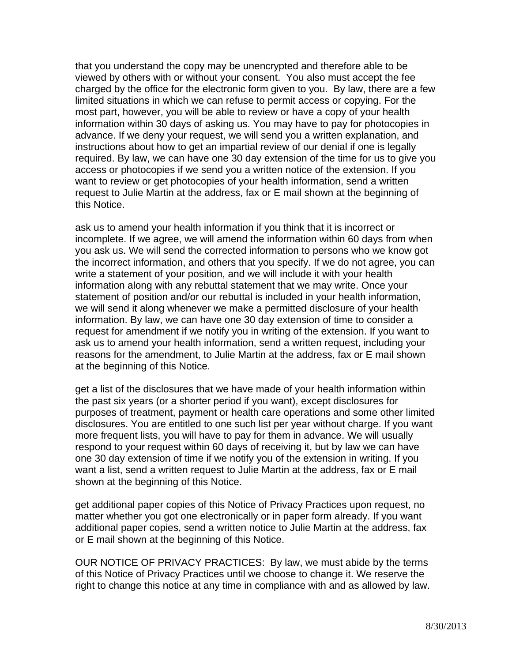that you understand the copy may be unencrypted and therefore able to be viewed by others with or without your consent. You also must accept the fee charged by the office for the electronic form given to you. By law, there are a few limited situations in which we can refuse to permit access or copying. For the most part, however, you will be able to review or have a copy of your health information within 30 days of asking us. You may have to pay for photocopies in advance. If we deny your request, we will send you a written explanation, and instructions about how to get an impartial review of our denial if one is legally required. By law, we can have one 30 day extension of the time for us to give you access or photocopies if we send you a written notice of the extension. If you want to review or get photocopies of your health information, send a written request to Julie Martin at the address, fax or E mail shown at the beginning of this Notice.

ask us to amend your health information if you think that it is incorrect or incomplete. If we agree, we will amend the information within 60 days from when you ask us. We will send the corrected information to persons who we know got the incorrect information, and others that you specify. If we do not agree, you can write a statement of your position, and we will include it with your health information along with any rebuttal statement that we may write. Once your statement of position and/or our rebuttal is included in your health information, we will send it along whenever we make a permitted disclosure of your health information. By law, we can have one 30 day extension of time to consider a request for amendment if we notify you in writing of the extension. If you want to ask us to amend your health information, send a written request, including your reasons for the amendment, to Julie Martin at the address, fax or E mail shown at the beginning of this Notice.

get a list of the disclosures that we have made of your health information within the past six years (or a shorter period if you want), except disclosures for purposes of treatment, payment or health care operations and some other limited disclosures. You are entitled to one such list per year without charge. If you want more frequent lists, you will have to pay for them in advance. We will usually respond to your request within 60 days of receiving it, but by law we can have one 30 day extension of time if we notify you of the extension in writing. If you want a list, send a written request to Julie Martin at the address, fax or E mail shown at the beginning of this Notice.

get additional paper copies of this Notice of Privacy Practices upon request, no matter whether you got one electronically or in paper form already. If you want additional paper copies, send a written notice to Julie Martin at the address, fax or E mail shown at the beginning of this Notice.

OUR NOTICE OF PRIVACY PRACTICES: By law, we must abide by the terms of this Notice of Privacy Practices until we choose to change it. We reserve the right to change this notice at any time in compliance with and as allowed by law.